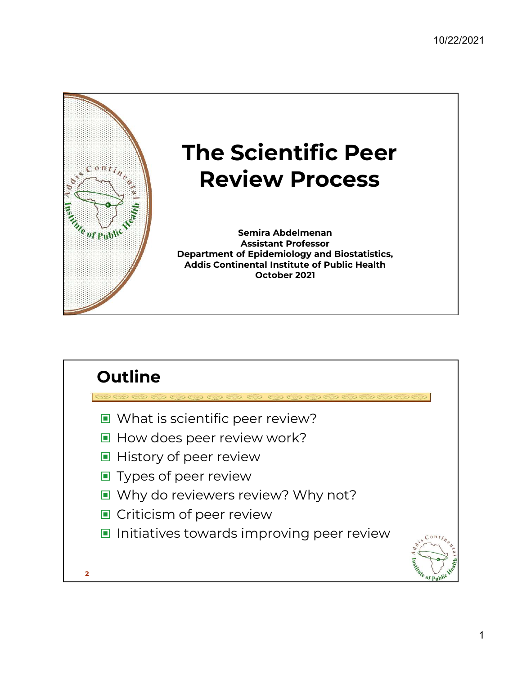

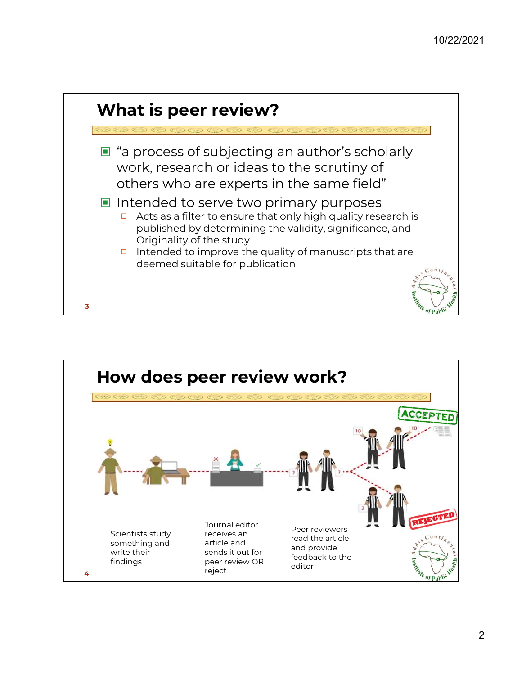

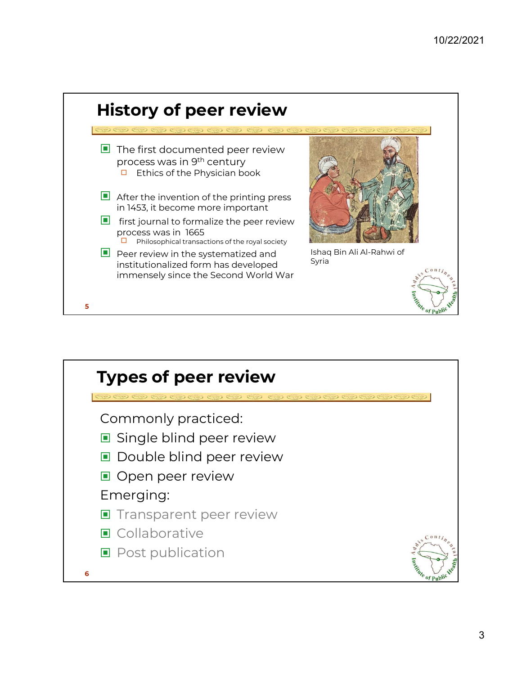

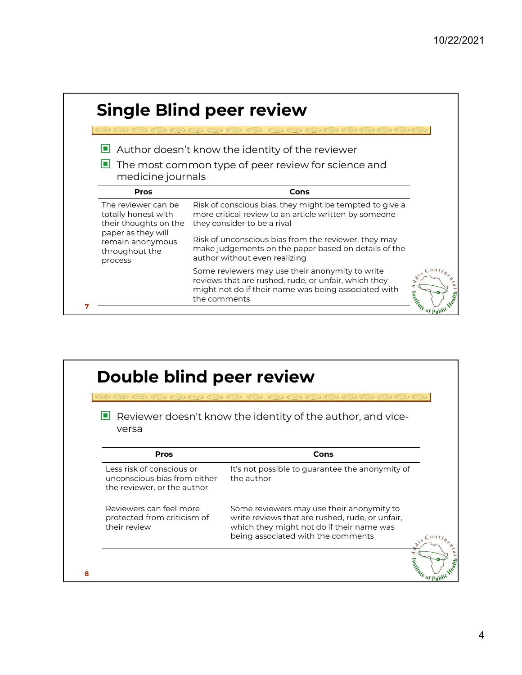|                                                                                           | <b>Single Blind peer review</b>                                                                                                                                                 |                   |
|-------------------------------------------------------------------------------------------|---------------------------------------------------------------------------------------------------------------------------------------------------------------------------------|-------------------|
| センセン センセン センセン                                                                            | (O) (O) (O) (O) (O) (O) (O)                                                                                                                                                     |                   |
|                                                                                           | $\Box$ Author doesn't know the identity of the reviewer                                                                                                                         |                   |
| medicine journals                                                                         | $\blacksquare$ The most common type of peer review for science and                                                                                                              |                   |
| Pros                                                                                      | Cons                                                                                                                                                                            |                   |
| The reviewer can be<br>totally honest with<br>their thoughts on the<br>paper as they will | Risk of conscious bias, they might be tempted to give a<br>more critical review to an article written by someone<br>they consider to be a rival                                 |                   |
| remain anonymous<br>throughout the<br>process                                             | Risk of unconscious bias from the reviewer, they may<br>make judgements on the paper based on details of the<br>author without even realizing                                   |                   |
|                                                                                           | Some reviewers may use their anonymity to write<br>reviews that are rushed, rude, or unfair, which they<br>might not do if their name was being associated with<br>the comments | Antique of Public |

| Double blind peer review                                                                 | アモウモウモウモウモウモウモウモウモウモウモウモウ                                                                                                                                                       |
|------------------------------------------------------------------------------------------|---------------------------------------------------------------------------------------------------------------------------------------------------------------------------------|
| versa                                                                                    | $\blacksquare$ Reviewer doesn't know the identity of the author, and vice-                                                                                                      |
| Pros                                                                                     | Cons                                                                                                                                                                            |
| Less risk of conscious or<br>unconscious bias from either<br>the reviewer, or the author | It's not possible to guarantee the anonymity of<br>the author                                                                                                                   |
| Reviewers can feel more<br>protected from criticism of<br>their review                   | Some reviewers may use their anonymity to<br>write reviews that are rushed, rude, or unfair,<br>which they might not do if their name was<br>being associated with the comments |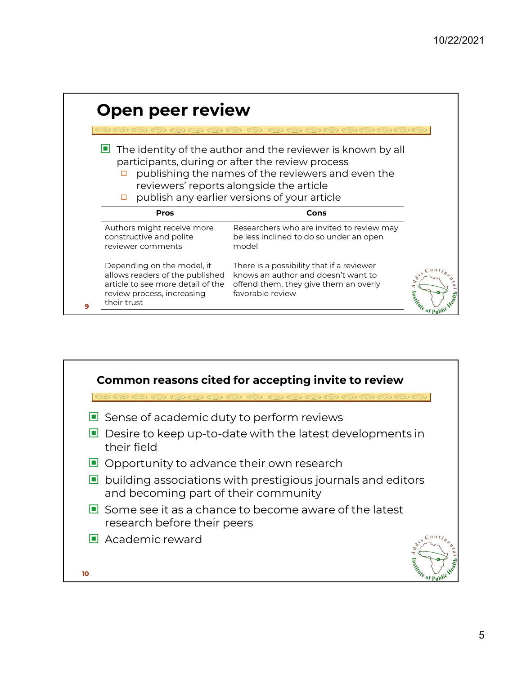|   | Open peer review                                                                                                                                                                                                                                                                                             |                                                                                                                                               |                                 |  |  |
|---|--------------------------------------------------------------------------------------------------------------------------------------------------------------------------------------------------------------------------------------------------------------------------------------------------------------|-----------------------------------------------------------------------------------------------------------------------------------------------|---------------------------------|--|--|
|   | 0000000000000000000000<br>$\Box$ The identity of the author and the reviewer is known by all<br>participants, during or after the review process<br>publishing the names of the reviewers and even the<br>□<br>reviewers' reports alongside the article<br>publish any earlier versions of your article<br>□ |                                                                                                                                               |                                 |  |  |
|   | Pros                                                                                                                                                                                                                                                                                                         | Cons                                                                                                                                          |                                 |  |  |
|   | Authors might receive more<br>constructive and polite<br>reviewer comments                                                                                                                                                                                                                                   | Researchers who are invited to review may<br>be less inclined to do so under an open<br>model                                                 |                                 |  |  |
| 9 | Depending on the model, it<br>allows readers of the published<br>article to see more detail of the<br>review process, increasing<br>their trust                                                                                                                                                              | There is a possibility that if a reviewer<br>knows an author and doesn't want to<br>offend them, they give them an overly<br>favorable review | $0 \pi t$<br><b>Engine Line</b> |  |  |

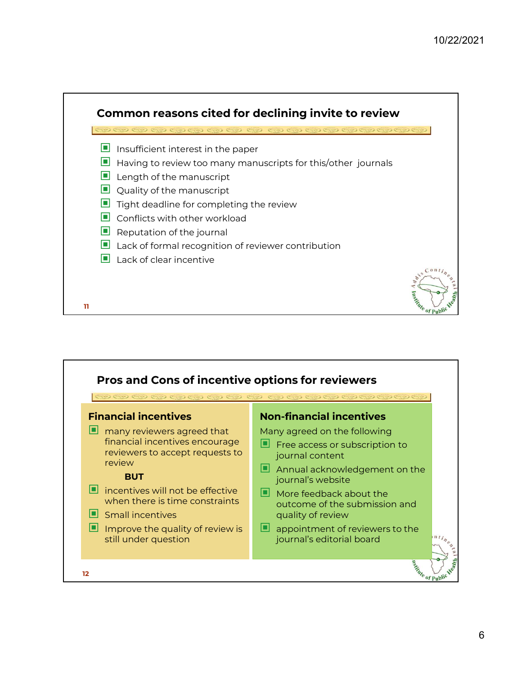

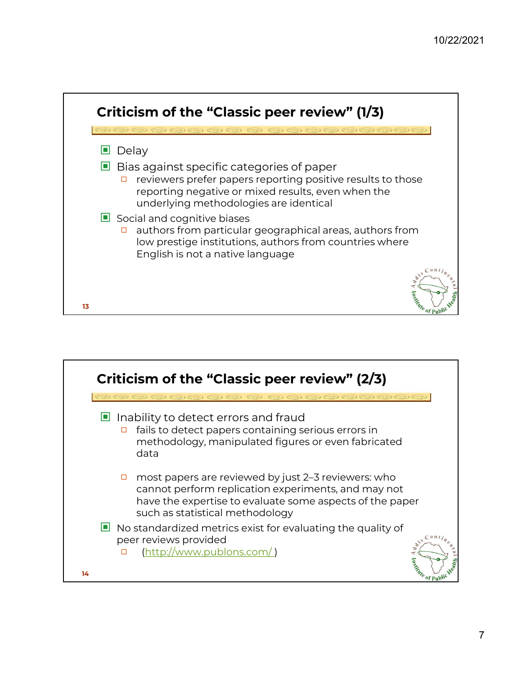

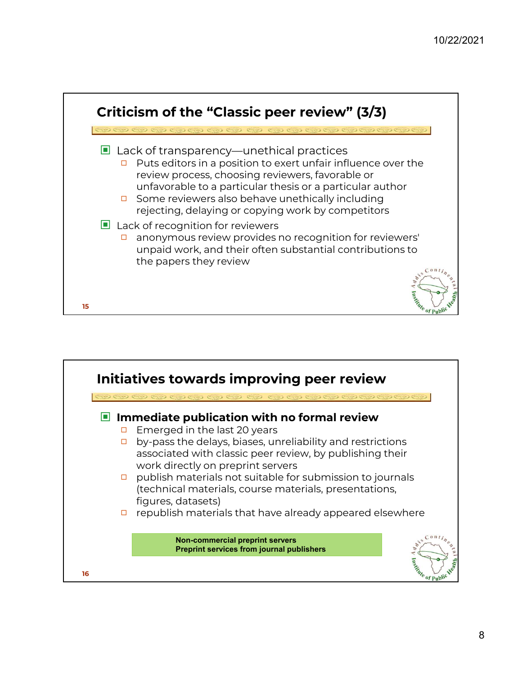

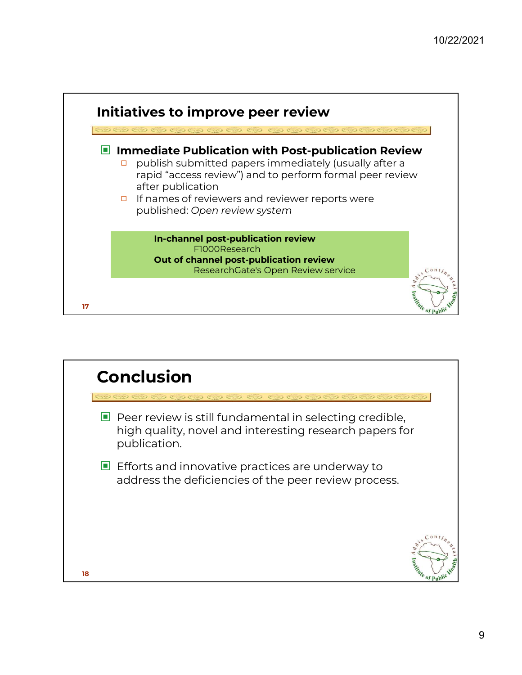